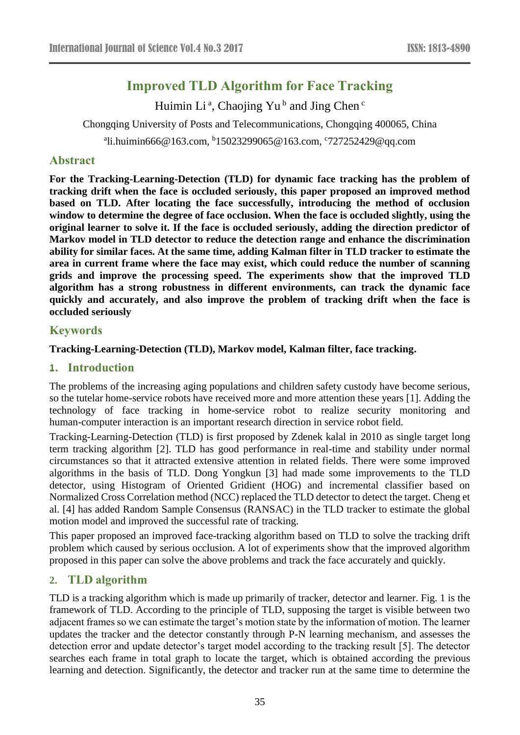# **Improved TLD Algorithm for Face Tracking**

Huimin Li<sup>a</sup>, Chaojing Yu<sup>b</sup> and Jing Chen<sup>c</sup>

Chongqing University of Posts and Telecommunications, Chongqing 400065, China

a li.huimin666@163.com, <sup>b</sup> 15023299065@163.com, c 727252429@qq.com

## **Abstract**

**For the Tracking-Learning-Detection (TLD) for dynamic face tracking has the problem of tracking drift when the face is occluded seriously, this paper proposed an improved method based on TLD. After locating the face successfully, introducing the method of occlusion window to determine the degree of face occlusion. When the face is occluded slightly, using the original learner to solve it. If the face is occluded seriously, adding the direction predictor of Markov model in TLD detector to reduce the detection range and enhance the discrimination ability for similar faces. At the same time, adding Kalman filter in TLD tracker to estimate the area in current frame where the face may exist, which could reduce the number of scanning grids and improve the processing speed. The experiments show that the improved TLD algorithm has a strong robustness in different environments, can track the dynamic face quickly and accurately, and also improve the problem of tracking drift when the face is occluded seriously**

## **Keywords**

**Tracking-Learning-Detection (TLD), Markov model, Kalman filter, face tracking.** 

### **1. Introduction**

The problems of the increasing aging populations and children safety custody have become serious, so the tutelar home-service robots have received more and more attention these years [1]. Adding the technology of face tracking in home-service robot to realize security monitoring and human-computer interaction is an important research direction in service robot field.

Tracking-Learning-Detection (TLD) is first proposed by Zdenek kalal in 2010 as single target long term tracking algorithm [2]. TLD has good performance in real-time and stability under normal circumstances so that it attracted extensive attention in related fields. There were some improved algorithms in the basis of TLD. Dong Yongkun [3] had made some improvements to the TLD detector, using Histogram of Oriented Gridient (HOG) and incremental classifier based on Normalized Cross Correlation method (NCC) replaced the TLD detector to detect the target. Cheng et al. [4] has added Random Sample Consensus (RANSAC) in the TLD tracker to estimate the global motion model and improved the successful rate of tracking.

This paper proposed an improved face-tracking algorithm based on TLD to solve the tracking drift problem which caused by serious occlusion. A lot of experiments show that the improved algorithm proposed in this paper can solve the above problems and track the face accurately and quickly.

## **2. TLD algorithm**

TLD is a tracking algorithm which is made up primarily of tracker, detector and learner. Fig. 1 is the framework of TLD. According to the principle of TLD, supposing the target is visible between two adjacent frames so we can estimate the target's motion state by the information of motion. The learner updates the tracker and the detector constantly through P-N learning mechanism, and assesses the detection error and update detector's target model according to the tracking result [5]. The detector searches each frame in total graph to locate the target, which is obtained according the previous learning and detection. Significantly, the detector and tracker run at the same time to determine the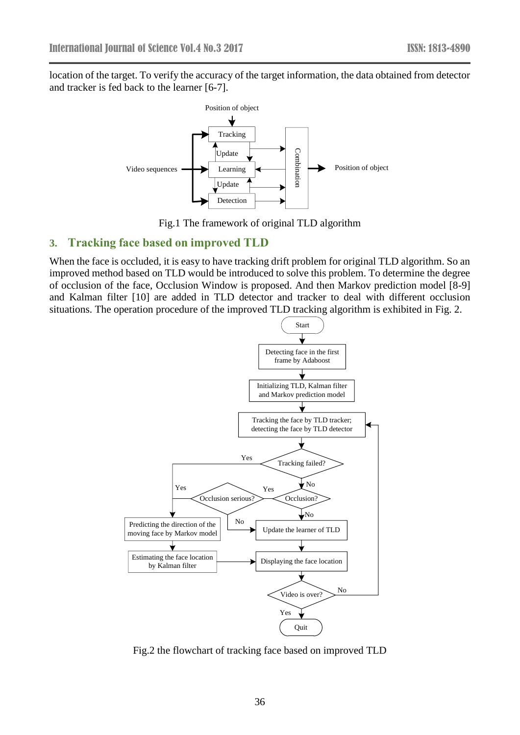location of the target. To verify the accuracy of the target information, the data obtained from detector and tracker is fed back to the learner [6-7].



Fig.1 The framework of original TLD algorithm

### **3. Tracking face based on improved TLD**

When the face is occluded, it is easy to have tracking drift problem for original TLD algorithm. So an improved method based on TLD would be introduced to solve this problem. To determine the degree of occlusion of the face, Occlusion Window is proposed. And then Markov prediction model [8-9] and Kalman filter [10] are added in TLD detector and tracker to deal with different occlusion situations. The operation procedure of the improved TLD tracking algorithm is exhibited in Fig. 2.



Fig.2 the flowchart of tracking face based on improved TLD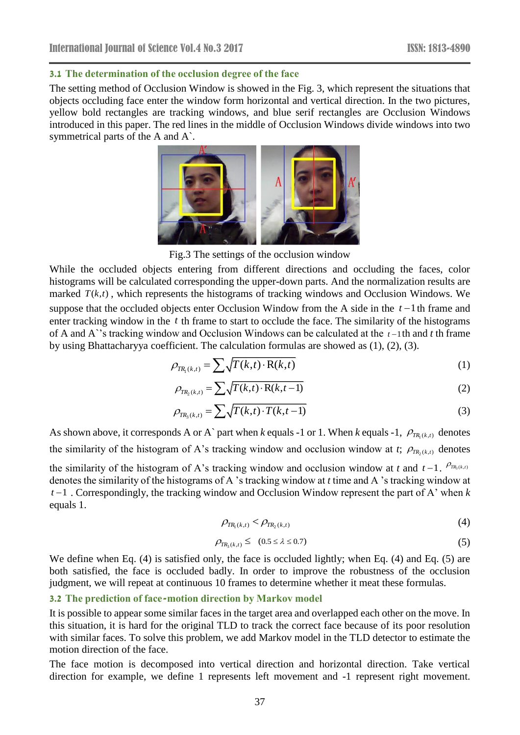### **3.1 The determination of the occlusion degree of the face**

The setting method of Occlusion Window is showed in the Fig. 3, which represent the situations that objects occluding face enter the window form horizontal and vertical direction. In the two pictures, yellow bold rectangles are tracking windows, and blue serif rectangles are Occlusion Windows introduced in this paper. The red lines in the middle of Occlusion Windows divide windows into two symmetrical parts of the A and A`.



Fig.3 The settings of the occlusion window

While the occluded objects entering from different directions and occluding the faces, color histograms will be calculated corresponding the upper-down parts. And the normalization results are marked  $T(k,t)$ , which represents the histograms of tracking windows and Occlusion Windows. We suppose that the occluded objects enter Occlusion Window from the A side in the  $t-1$  th frame and enter tracking window in the t th frame to start to occlude the face. The similarity of the histograms of A and A<sup>\*</sup>'s tracking window and Occlusion Windows can be calculated at the  $t-1$ <sup>th</sup> and  $t$  th frame by using Bhattacharyya coefficient. The calculation formulas are showed as (1), (2), (3).

$$
\rho_{TR_1(k,t)} = \sum \sqrt{T(k,t) \cdot R(k,t)}
$$
\n(1)

$$
\rho_{TR_2(k,t)} = \sum \sqrt{T(k,t) \cdot R(k,t-1)}
$$
\n(2)

$$
\rho_{TR_3(k,t)} = \sum \sqrt{T(k,t) \cdot T(k,t-1)}
$$
\n(3)

As shown above, it corresponds A or A` part when *k* equals -1 or 1. When *k* equals -1,  $\rho_{TR_1(k,t)}$  denotes the similarity of the histogram of A's tracking window and occlusion window at *t*;  $\rho_{TR_2(k,t)}$  denotes

the similarity of the histogram of A's tracking window and occlusion window at *t* and  $t-1$ .  $P_{TR_3(k,t)}$ denotes the similarity of the histograms of A 's tracking window at *t* time and A 's tracking window at  $t-1$ . Correspondingly, the tracking window and Occlusion Window represent the part of A' when  $k$ equals 1.

$$
\rho_{TR_1(k,t)} < \rho_{TR_2(k,t)} \tag{4}
$$

$$
\rho_{TR_3(k,t)} \leq (0.5 \leq \lambda \leq 0.7) \tag{5}
$$

We define when Eq. (4) is satisfied only, the face is occluded lightly; when Eq. (4) and Eq. (5) are both satisfied, the face is occluded badly. In order to improve the robustness of the occlusion judgment, we will repeat at continuous 10 frames to determine whether it meat these formulas.

### **3.2 The prediction of face-motion direction by Markov model**

It is possible to appear some similar faces in the target area and overlapped each other on the move. In this situation, it is hard for the original TLD to track the correct face because of its poor resolution with similar faces. To solve this problem, we add Markov model in the TLD detector to estimate the motion direction of the face.

The face motion is decomposed into vertical direction and horizontal direction. Take vertical direction for example, we define 1 represents left movement and -1 represent right movement.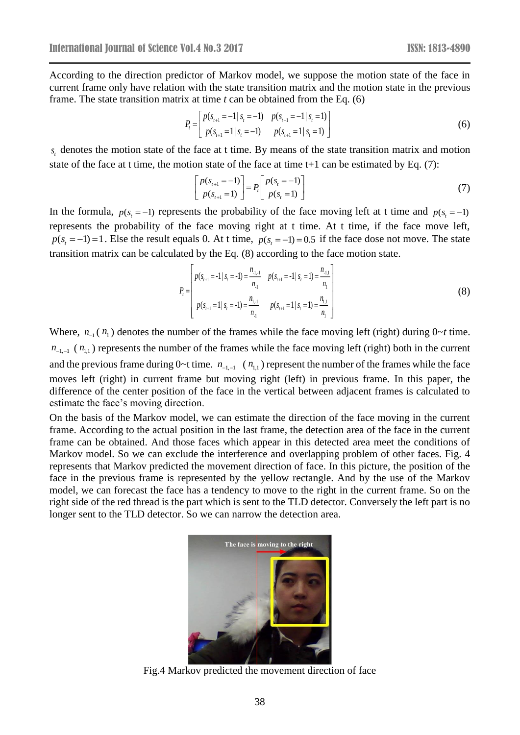According to the direction predictor of Markov model, we suppose the motion state of the face in current frame only have relation with the state transition matrix and the motion state in the previous frame. The state transition matrix at time *t* can be obtained from the Eq. (6)

$$
P_{t} = \begin{bmatrix} p(s_{t+1} = -1 | s_{t} = -1) & p(s_{t+1} = -1 | s_{t} = 1) \\ p(s_{t+1} = 1 | s_{t} = -1) & p(s_{t+1} = 1 | s_{t} = 1) \end{bmatrix}
$$
(6)

 $s<sub>t</sub>$  denotes the motion state of the face at t time. By means of the state transition matrix and motion state of the face at t time, the motion state of the face at time t+1 can be estimated by Eq. (7):

$$
\begin{bmatrix} p(s_{t+1} = -1) \\ p(s_{t+1} = 1) \end{bmatrix} = P_t \begin{bmatrix} p(s_t = -1) \\ p(s_t = 1) \end{bmatrix}
$$
 (7)

In the formula,  $p(s_t = -1)$  represents the probability of the face moving left at t time and  $p(s_t = -1)$ represents the probability of the face moving right at t time. At t time, if the face move left,  $p(s_t = -1) = 1$ . Else the result equals 0. At t time,  $p(s_t = -1) = 0.5$  if the face dose not move. The state transition matrix can be calculated by the Eq. (8) according to the face motion state.

$$
P_{t} = \begin{bmatrix} p(s_{t+1} = -1 | s_{t} = -1) = \frac{n_{1,1}}{n_{1}} & p(s_{t+1} = -1 | s_{t} = 1) = \frac{n_{1,1}}{n_{1}} \\ p(s_{t+1} = 1 | s_{t} = -1) = \frac{n_{1,1}}{n_{1}} & p(s_{t+1} = 1 | s_{t} = 1) = \frac{n_{1,1}}{n_{1}} \end{bmatrix}
$$
(8)

Where,  $n_{-1}(n_1)$  denotes the number of the frames while the face moving left (right) during  $0 \sim t$  time.  $n_{-1,-1}$  ( $n_{1,1}$ ) represents the number of the frames while the face moving left (right) both in the current and the previous frame during  $0 \sim t$  time.  $n_{-1,-1}$  ( $n_{1,1}$ ) represent the number of the frames while the face moves left (right) in current frame but moving right (left) in previous frame. In this paper, the difference of the center position of the face in the vertical between adjacent frames is calculated to estimate the face's moving direction.

On the basis of the Markov model, we can estimate the direction of the face moving in the current frame. According to the actual position in the last frame, the detection area of the face in the current frame can be obtained. And those faces which appear in this detected area meet the conditions of Markov model. So we can exclude the interference and overlapping problem of other faces. Fig. 4 represents that Markov predicted the movement direction of face. In this picture, the position of the face in the previous frame is represented by the yellow rectangle. And by the use of the Markov model, we can forecast the face has a tendency to move to the right in the current frame. So on the right side of the red thread is the part which is sent to the TLD detector. Conversely the left part is no longer sent to the TLD detector. So we can narrow the detection area.



Fig.4 Markov predicted the movement direction of face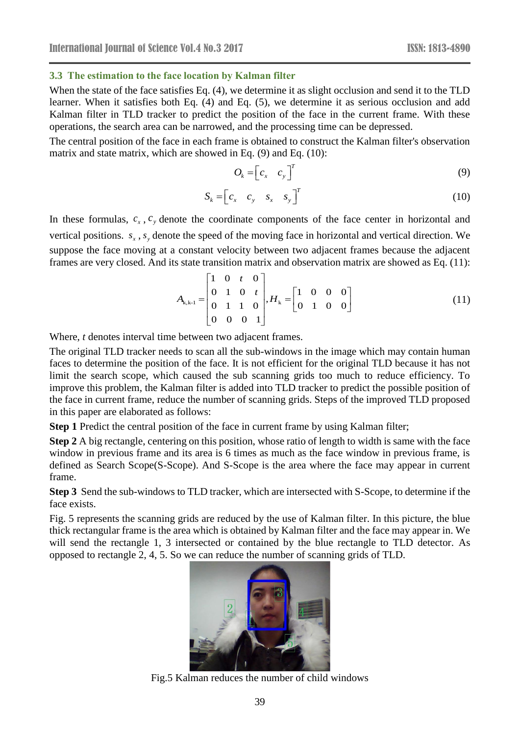#### **3.3 The estimation to the face location by Kalman filter**

When the state of the face satisfies Eq. (4), we determine it as slight occlusion and send it to the TLD learner. When it satisfies both Eq. (4) and Eq. (5), we determine it as serious occlusion and add Kalman filter in TLD tracker to predict the position of the face in the current frame. With these operations, the search area can be narrowed, and the processing time can be depressed.

The central position of the face in each frame is obtained to construct the Kalman filter's observation matrix and state matrix, which are showed in Eq. (9) and Eq. (10):

$$
O_k = \begin{bmatrix} c_x & c_y \end{bmatrix}^T \tag{9}
$$

$$
S_k = \begin{bmatrix} c_x & c_y & s_x & s_y \end{bmatrix}^T
$$
 (10)

In these formulas,  $c_x$ ,  $c_y$  denote the coordinate components of the face center in horizontal and vertical positions.  $s_x$ ,  $s_y$  denote the speed of the moving face in horizontal and vertical direction. We suppose the face moving at a constant velocity between two adjacent frames because the adjacent frames are very closed. And its state transition matrix and observation matrix are showed as Eq. (11):<br>  $\begin{bmatrix} 1 & 0 & t & 0 \end{bmatrix}$ 

$$
A_{k,k-1} = \begin{bmatrix} 1 & 0 & t & 0 \\ 0 & 1 & 0 & t \\ 0 & 1 & 1 & 0 \\ 0 & 0 & 0 & 1 \end{bmatrix}, H_k = \begin{bmatrix} 1 & 0 & 0 & 0 \\ 0 & 1 & 0 & 0 \end{bmatrix}
$$
(11)

Where, *t* denotes interval time between two adjacent frames.

The original TLD tracker needs to scan all the sub-windows in the image which may contain human faces to determine the position of the face. It is not efficient for the original TLD because it has not limit the search scope, which caused the sub scanning grids too much to reduce efficiency. To improve this problem, the Kalman filter is added into TLD tracker to predict the possible position of the face in current frame, reduce the number of scanning grids. Steps of the improved TLD proposed in this paper are elaborated as follows:

**Step 1** Predict the central position of the face in current frame by using Kalman filter;

**Step 2** A big rectangle, centering on this position, whose ratio of length to width is same with the face window in previous frame and its area is 6 times as much as the face window in previous frame, is defined as Search Scope(S-Scope). And S-Scope is the area where the face may appear in current frame.

**Step 3** Send the sub-windows to TLD tracker, which are intersected with S-Scope, to determine if the face exists.

Fig. 5 represents the scanning grids are reduced by the use of Kalman filter. In this picture, the blue thick rectangular frame is the area which is obtained by Kalman filter and the face may appear in. We will send the rectangle 1, 3 intersected or contained by the blue rectangle to TLD detector. As opposed to rectangle 2, 4, 5. So we can reduce the number of scanning grids of TLD.



Fig.5 Kalman reduces the number of child windows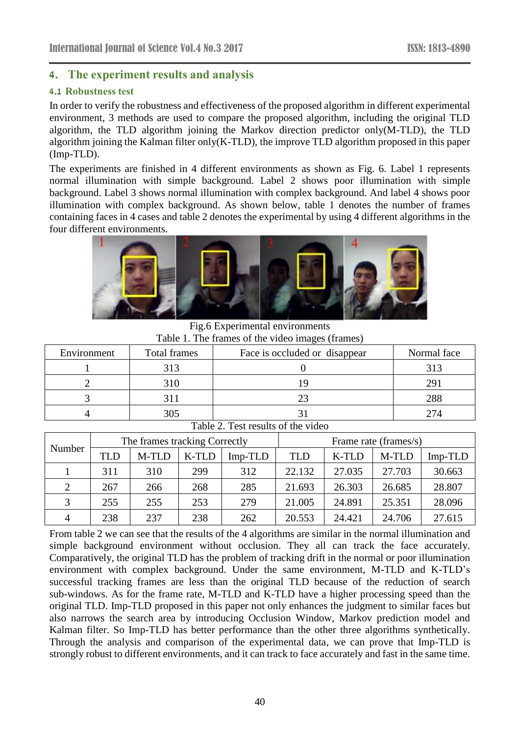## **4. The experiment results and analysis**

### **4.1 Robustness test**

In order to verify the robustness and effectiveness of the proposed algorithm in different experimental environment, 3 methods are used to compare the proposed algorithm, including the original TLD algorithm, the TLD algorithm joining the Markov direction predictor only(M-TLD), the TLD algorithm joining the Kalman filter only(K-TLD), the improve TLD algorithm proposed in this paper (Imp-TLD).

The experiments are finished in 4 different environments as shown as Fig. 6. Label 1 represents normal illumination with simple background. Label 2 shows poor illumination with simple background. Label 3 shows normal illumination with complex background. And label 4 shows poor illumination with complex background. As shown below, table 1 denotes the number of frames containing faces in 4 cases and table 2 denotes the experimental by using 4 different algorithms in the four different environments.



Fig.6 Experimental environments Table 1. The frames of the video images (frames)

| Environment                        | Total frames | Face is occluded or disappear | Normal face |  |  |  |  |  |
|------------------------------------|--------------|-------------------------------|-------------|--|--|--|--|--|
|                                    | 313          |                               | 313         |  |  |  |  |  |
|                                    | 310          |                               | 291         |  |  |  |  |  |
|                                    |              | 23                            | 288         |  |  |  |  |  |
|                                    | 305          |                               | 274         |  |  |  |  |  |
| Table 2. Test results of the video |              |                               |             |  |  |  |  |  |

| Number | The frames tracking Correctly |       |       | Frame rate (frames/s) |        |        |        |         |
|--------|-------------------------------|-------|-------|-----------------------|--------|--------|--------|---------|
|        | TLD                           | M-TLD | K-TLD | Imp-TLD               | TLD    | K-TLD  | M-TLD  | Imp-TLD |
|        | 311                           | 310   | 299   | 312                   | 22.132 | 27.035 | 27.703 | 30.663  |
| 2      | 267                           | 266   | 268   | 285                   | 21.693 | 26.303 | 26.685 | 28.807  |
|        | 255                           | 255   | 253   | 279                   | 21.005 | 24.891 | 25.351 | 28.096  |
| 4      | 238                           | 237   | 238   | 262                   | 20.553 | 24.421 | 24.706 | 27.615  |

From table 2 we can see that the results of the 4 algorithms are similar in the normal illumination and simple background environment without occlusion. They all can track the face accurately. Comparatively, the original TLD has the problem of tracking drift in the normal or poor illumination environment with complex background. Under the same environment, M-TLD and K-TLD's successful tracking frames are less than the original TLD because of the reduction of search sub-windows. As for the frame rate, M-TLD and K-TLD have a higher processing speed than the original TLD. Imp-TLD proposed in this paper not only enhances the judgment to similar faces but also narrows the search area by introducing Occlusion Window, Markov prediction model and Kalman filter. So Imp-TLD has better performance than the other three algorithms synthetically. Through the analysis and comparison of the experimental data, we can prove that Imp-TLD is strongly robust to different environments, and it can track to face accurately and fast in the same time.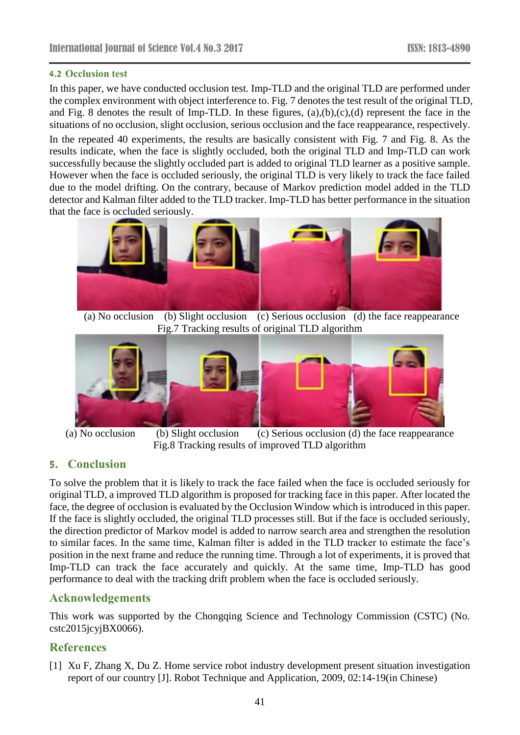### **4.2 Occlusion test**

In this paper, we have conducted occlusion test. Imp-TLD and the original TLD are performed under the complex environment with object interference to. Fig. 7 denotes the test result of the original TLD, and Fig. 8 denotes the result of Imp-TLD. In these figures, (a),(b),(c),(d) represent the face in the situations of no occlusion, slight occlusion, serious occlusion and the face reappearance, respectively.

In the repeated 40 experiments, the results are basically consistent with Fig. 7 and Fig. 8. As the results indicate, when the face is slightly occluded, both the original TLD and Imp-TLD can work successfully because the slightly occluded part is added to original TLD learner as a positive sample. However when the face is occluded seriously, the original TLD is very likely to track the face failed due to the model drifting. On the contrary, because of Markov prediction model added in the TLD detector and Kalman filter added to the TLD tracker. Imp-TLD has better performance in the situation that the face is occluded seriously.



 (a) No occlusion (b) Slight occlusion (c) Serious occlusion (d) the face reappearance Fig.7 Tracking results of original TLD algorithm



(a) No occlusion (b) Slight occlusion (c) Serious occlusion (d) the face reappearance Fig.8 Tracking results of improved TLD algorithm

## **5. Conclusion**

To solve the problem that it is likely to track the face failed when the face is occluded seriously for original TLD, a improved TLD algorithm is proposed for tracking face in this paper. After located the face, the degree of occlusion is evaluated by the Occlusion Window which is introduced in this paper. If the face is slightly occluded, the original TLD processes still. But if the face is occluded seriously, the direction predictor of Markov model is added to narrow search area and strengthen the resolution to similar faces. In the same time, Kalman filter is added in the TLD tracker to estimate the face's position in the next frame and reduce the running time. Through a lot of experiments, it is proved that Imp-TLD can track the face accurately and quickly. At the same time, Imp-TLD has good performance to deal with the tracking drift problem when the face is occluded seriously.

## **Acknowledgements**

This work was supported by the Chongqing Science and Technology Commission (CSTC) (No.  $cstc2015jcyjBX0066$ ).

## **References**

[1] Xu F, Zhang X, Du Z. Home service robot industry development present situation investigation report of our country [J]. Robot Technique and Application, 2009, 02:14-19(in Chinese)